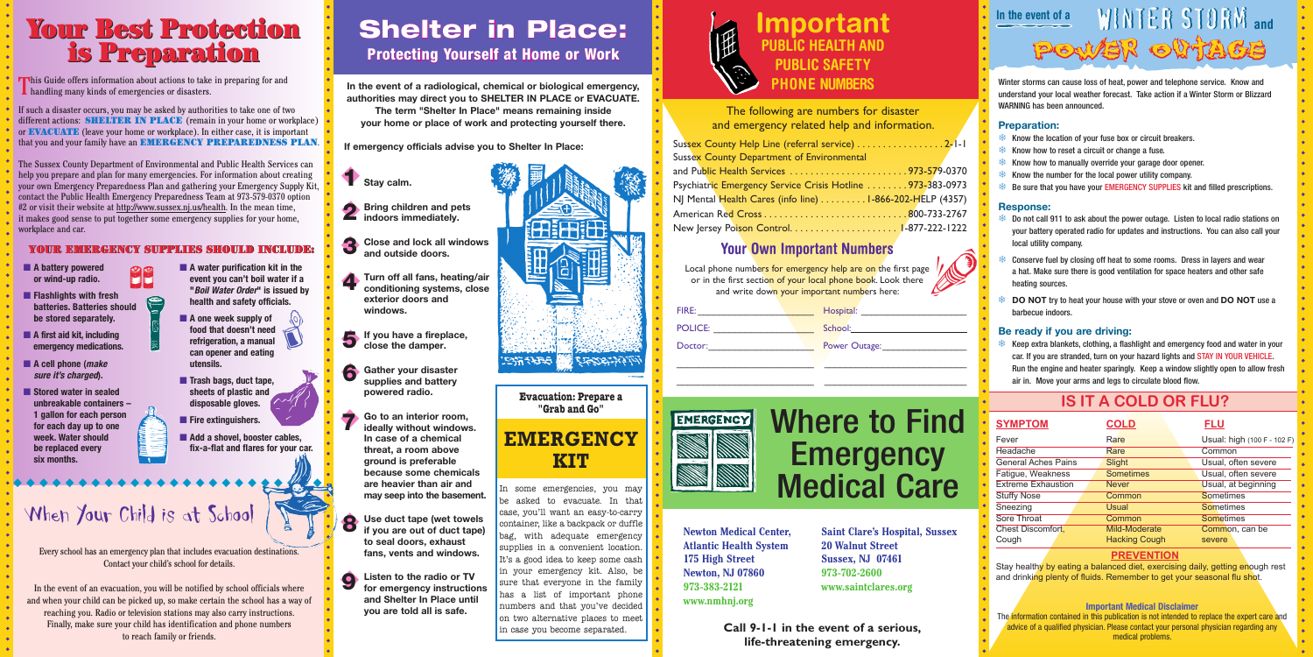# Where to Find **Emergency** Medical Care

**Newton Medical Center, Atlantic Health System 175 High Street Newton, NJ 07860 973-383-2121 www.nmhnj.org** 

> **Call 9-1-1 in the event of a serious, life-threatening emergency.**

The following are numbers for disaster and emergency related help and information.

| ent of Environmental                                    |  |
|---------------------------------------------------------|--|
|                                                         |  |
| rvice Crisis Hotline 973-383-0973                       |  |
| info line) $\ldots \ldots \ldots$ 1-866-202-HELP (4357) |  |
|                                                         |  |
|                                                         |  |

**Saint Clare's Hospital, Sussex 20 Walnut Street Sussex, NJ 07461 973-702-2600 www.saintclares.org**

# In the event of a<br>
WINTER STORM and POWER OUTAGE

# **Important PUBLIC HEALTH AND PUBLIC SAFETY PHONE NUMBERS**

## **Your Own Important Numbers**

| FIRE:          | Hospita |
|----------------|---------|
| <b>POLICE:</b> | School: |
| Doctor:        | Power ( |



Keep extra blankets, clothing, a flashlight and emergency food and water in your car. If you are stranded, turn on your hazard lights and STAY IN YOUR VEHICLE. Run the engine and heater sparingly. Keep a window slightly open to allow fresh air in. Move your arms and legs to circulate blood flow.

\_\_\_\_\_\_\_\_\_\_\_\_\_\_\_\_\_\_\_\_\_\_\_\_\_\_ \_\_\_\_\_\_\_\_\_\_\_\_\_\_\_\_\_\_\_\_\_\_\_\_\_\_\_

Local phone numbers for emergency help are on the first page of your local phone book. Look there **TUUT UWIT THIPUT LATTE NUTTIBETS**<br>none numbers for emergency help are on the first page<br>he first section of your local phone book. Look there<br>and write down your important numbers here:

| FIRE:          | Hospital:                 |
|----------------|---------------------------|
| <b>POLICE:</b> | School:__________________ |
| Doctor:        | Power Outage:             |

Winter storms can cause loss of heat, power and telephone service. Know and understand your local weather forecast. Take action if a Winter Storm or Blizzard WARNING has been announced.

### **Preparation:**

- **A** water purification kit in the **event you can't boil water if a "***Boil Water Order***" is issued by health and safety officials.**
- A one week supply of **food that doesn't need refrigeration, a manual can opener and eating utensils. Designed**
- **Trash bags, duct tape, sheets of plastic and disposable gloves.**
- **Fire extinguishers.**
- **Add a shovel, booster cables, fix-a-flat and flares for your car.**

# When Your Child is at School

- ❄ Know the location of your fuse box or circuit breakers.
- ❄ Know how to reset a circuit or change a fuse.
- ❄ Know how to manually override your garage door opener.
- ❄ Know the number for the local power utility company.
- ❄ Be sure that you have your EMERGENCY SUPPLIES kit and filled prescriptions.

This Guide offers information about actions to take in preparing for and handling many kinds of emergencies or disasters.

### **Response:**

- ❄ Do not call 911 to ask about the power outage. Listen to local radio stations on your battery operated radio for updates and instructions. You can also call your local utility company.
- Conserve fuel by closing off heat to some rooms. Dress in layers and wear a hat. Make sure there is good ventilation for space heaters and other safe heating sources.
- **DO NOT** try to heat your house with your stove or oven and **DO NOT** use a barbecue indoors.

### **Be ready if you are driving:**

- **A battery powered or wind-up radio.**
- **Flashlights with fresh batteries. Batteries should be stored separately.**
- **A first aid kit, including emergency medications.**
- **A** cell phone (*make sure it's charged***).**
- **Stored water in sealed unbreakable containers – 1 gallon for each person for each day up to one week. Water should be replaced every six months.**

# Your Best Protection Your Best Protection is Preparation is Preparation

◆ ◆ ◆ ◆ ◆ ◆ ◆ ◆ ◆ ◆ ◆ ◆ ◆ ◆ ◆ ◆ ◆ ◆ ◆ ◆ ◆ ◆ ◆ ◆

If such a disaster occurs, you may be asked by authorities to take one of two different actions: **SHELTER IN PLACE** (remain in your home or workplace) or EVACUATE (leave your home or workplace). In either case, it is important that you and your family have an EMERGENCY PREPAREDNESS PLAN.

## YOUR EMERGENCY SUPPLIES SHOULD INCLUDE: EMERGENCY SUPPLIES SHOULD

**COL** 

The Sussex County Department of Environmental and Public Health Services can help you prepare and plan for many emergencies. For information about creating your own Emergency Preparedness Plan and gathering your Emergency Supply Kit, contact the Public Health Emergency Preparedness Team at 973-579-0370 option #2 or visit their website at http://www.sussex.nj.us/health. In the mean time, it makes good sense to put together some emergency supplies for your home, workplace and car.

# Shelter in Place:

# Protecting Yourself at Home or Work

**In the event of a radiological, chemical or biological emergency, authorities may direct you to SHELTER IN PLACE or EVACUATE. The term "Shelter In Place" means remaining inside your home or place of work and protecting yourself there.**

 **If emergency officials advise you to Shelter In Place:**

- **Stay calm.** ◆1
- **Bring children and pets indoors immediately.**
- **Close and lock all windows and outside doors.** ◆3
- **Turn off all fans, heating/air conditioning systems, close exterior doors and windows.** ◆4
- **If you have a fireplace, close the damper.** ◆5
	- **Gather your disaster supplies and battery powered radio.**
- **Go to an interior room, ideally without windows. In case of a chemical threat, a room above ground is preferable because some chemicals are heavier than air and may seep into the basement.**
- **Use duct tape (wet towels if you are out of duct tape) to seal doors, exhaust fans, vents and windows.** ◆8
- **Listen to the radio or TV for emergency instructions and Shelter In Place until you are told all is safe.** ◆9



### **Evacuation: Prepare a "Grab and Go"**

# **EMERGENCY KIT**

In some emergencies, you may be asked to evacuate. In that case, you'll want an easy-to-carry container, like a backpack or duffle bag, with adequate emergency supplies in a convenient location. It's a good idea to keep some cash in your emergency kit. Also, be sure that everyone in the family has a list of important phone numbers and that you've decided on two alternative places to meet in case you become separated.



Sussex County Help Line Sussex County Departme and Public Health Service Psychiatric Emergency Se NJ Mental Health Cares American Red Cross... New Jersey Poison Contr

| Local phone numbers fo  |
|-------------------------|
| or in the first section |
| and write down          |
|                         |



# **IS IT A COLD OR FLU?**

| <b>SYMPTOM</b>             | <b>COLD</b>          | <u>FLU</u>                  |
|----------------------------|----------------------|-----------------------------|
| Fever                      | Rare                 | Usual: high (100 F - 102 F) |
| <b>Headache</b>            | Rare                 | Common                      |
| <b>General Aches Pains</b> | Slight               | Usual, often severe         |
| Fatigue, Weakness          | <b>Sometimes</b>     | Usual, often severe         |
| <b>Extreme Exhaustion</b>  | <b>Never</b>         | Usual, at beginning         |
| <b>Stuffy Nose</b>         | Common               | <b>Sometimes</b>            |
| Sneezing                   | Usual                | <b>Sometimes</b>            |
| Sore Throat                | Common               | <b>Sometimes</b>            |
| Chest Discomfort,          | Mild-Moderate        | Common, can be              |
| Cough                      | <b>Hacking Cough</b> | severe                      |

### **PREVENTION**

Stay healthy by eating a balanced diet, exercising daily, getting enough rest and drinking plenty of fluids. Remember to get your seasonal flu shot

### **Important Medical Disclaimer**

The information contained in this publication is not intended to replace the expert care and advice of a qualified physician. Please contact your personal physician regarding any medical problems.

Every school has an emergency plan that includes evacuation destinations. Contact your child's school for details.

In the event of an evacuation, you will be notified by school officials where and when your child can be picked up, so make certain the school has a way of reaching you. Radio or television stations may also carry instructions. Finally, make sure your child has identification and phone numbers to reach family or friends.